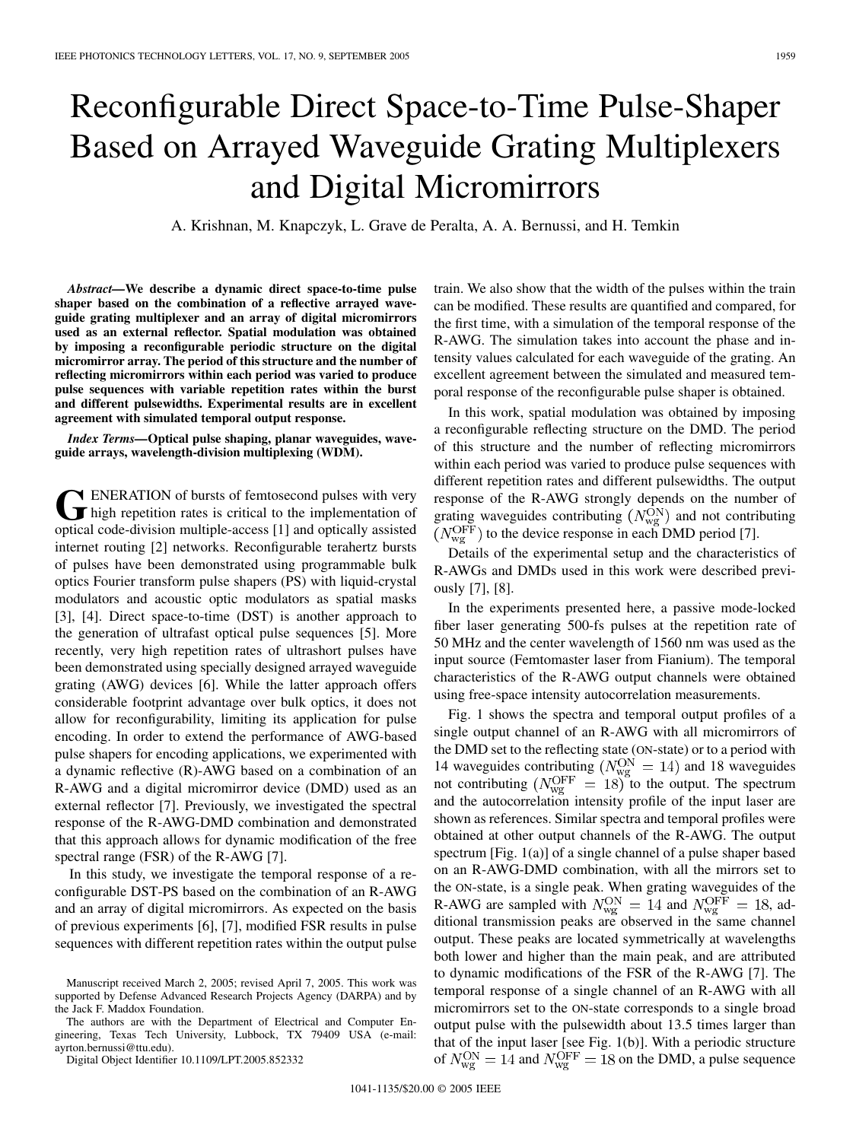## Reconfigurable Direct Space-to-Time Pulse-Shaper Based on Arrayed Waveguide Grating Multiplexers and Digital Micromirrors

A. Krishnan, M. Knapczyk, L. Grave de Peralta, A. A. Bernussi, and H. Temkin

*Abstract—***We describe a dynamic direct space-to-time pulse shaper based on the combination of a reflective arrayed waveguide grating multiplexer and an array of digital micromirrors used as an external reflector. Spatial modulation was obtained by imposing a reconfigurable periodic structure on the digital micromirror array. The period of this structure and the number of reflecting micromirrors within each period was varied to produce pulse sequences with variable repetition rates within the burst and different pulsewidths. Experimental results are in excellent agreement with simulated temporal output response.**

*Index Terms—***Optical pulse shaping, planar waveguides, waveguide arrays, wavelength-division multiplexing (WDM).**

GENERATION of bursts of femtosecond pulses with very<br>high repetition rates is critical to the implementation of<br>cartical social satisfacts division multiple access [1] and ortically excited **N** ENERATION of bursts of femtosecond pulses with very optical code-division multiple-access [1] and optically assisted internet routing [2] networks. Reconfigurable terahertz bursts of pulses have been demonstrated using programmable bulk optics Fourier transform pulse shapers (PS) with liquid-crystal modulators and acoustic optic modulators as spatial masks [3], [4]. Direct space-to-time (DST) is another approach to the generation of ultrafast optical pulse sequences [5]. More recently, very high repetition rates of ultrashort pulses have been demonstrated using specially designed arrayed waveguide grating (AWG) devices [6]. While the latter approach offers considerable footprint advantage over bulk optics, it does not allow for reconfigurability, limiting its application for pulse encoding. In order to extend the performance of AWG-based pulse shapers for encoding applications, we experimented with a dynamic reflective (R)-AWG based on a combination of an R-AWG and a digital micromirror device (DMD) used as an external reflector [7]. Previously, we investigated the spectral response of the R-AWG-DMD combination and demonstrated that this approach allows for dynamic modification of the free spectral range (FSR) of the R-AWG [7].

In this study, we investigate the temporal response of a reconfigurable DST-PS based on the combination of an R-AWG and an array of digital micromirrors. As expected on the basis of previous experiments [6], [7], modified FSR results in pulse sequences with different repetition rates within the output pulse

The authors are with the Department of Electrical and Computer Engineering, Texas Tech University, Lubbock, TX 79409 USA (e-mail: ayrton.bernussi@ttu.edu).

Digital Object Identifier 10.1109/LPT.2005.852332

train. We also show that the width of the pulses within the train can be modified. These results are quantified and compared, for the first time, with a simulation of the temporal response of the R-AWG. The simulation takes into account the phase and intensity values calculated for each waveguide of the grating. An excellent agreement between the simulated and measured temporal response of the reconfigurable pulse shaper is obtained.

In this work, spatial modulation was obtained by imposing a reconfigurable reflecting structure on the DMD. The period of this structure and the number of reflecting micromirrors within each period was varied to produce pulse sequences with different repetition rates and different pulsewidths. The output response of the R-AWG strongly depends on the number of grating waveguides contributing  $(N_{\text{wg}}^{\text{ON}})$  and not contributing  $(N_{\text{wg}}^{\text{OFF}})$  to the device response in each DMD period [7].

Details of the experimental setup and the characteristics of R-AWGs and DMDs used in this work were described previously [7], [8].

In the experiments presented here, a passive mode-locked fiber laser generating 500-fs pulses at the repetition rate of 50 MHz and the center wavelength of 1560 nm was used as the input source (Femtomaster laser from Fianium). The temporal characteristics of the R-AWG output channels were obtained using free-space intensity autocorrelation measurements.

Fig. 1 shows the spectra and temporal output profiles of a single output channel of an R-AWG with all micromirrors of the DMD set to the reflecting state (ON-state) or to a period with 14 waveguides contributing ( $N_{\rm wg}^{\rm ON} = 14$ ) and 18 waveguides not contributing  $(N_{\rm wg}^{\rm OFF} = 18)$  to the output. The spectrum and the autocorrelation intensity profile of the input laser are shown as references. Similar spectra and temporal profiles were obtained at other output channels of the R-AWG. The output spectrum [Fig. 1(a)] of a single channel of a pulse shaper based on an R-AWG-DMD combination, with all the mirrors set to the ON-state, is a single peak. When grating waveguides of the R-AWG are sampled with  $N_{\rm wg}^{\rm ON} = 14$  and  $N_{\rm wg}^{\rm OFF} = 18$ , additional transmission peaks are observed in the same channel output. These peaks are located symmetrically at wavelengths both lower and higher than the main peak, and are attributed to dynamic modifications of the FSR of the R-AWG [7]. The temporal response of a single channel of an R-AWG with all micromirrors set to the ON-state corresponds to a single broad output pulse with the pulsewidth about 13.5 times larger than that of the input laser [see Fig. 1(b)]. With a periodic structure of  $N_{\text{wg}}^{\text{ON}} = 14$  and  $N_{\text{wg}}^{\text{OFF}} = 18$  on the DMD, a pulse sequence

Manuscript received March 2, 2005; revised April 7, 2005. This work was supported by Defense Advanced Research Projects Agency (DARPA) and by the Jack F. Maddox Foundation.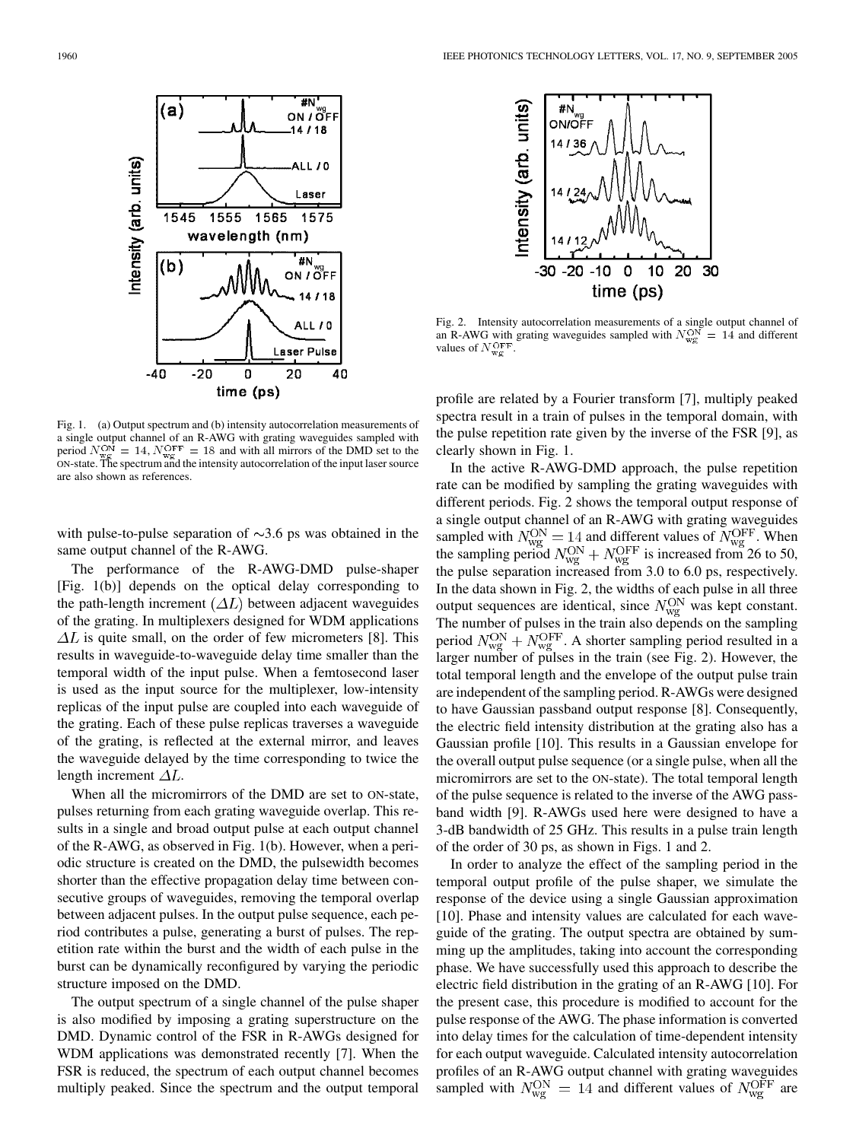

Fig. 1. (a) Output spectrum and (b) intensity autocorrelation measurements of a single output channel of an R-AWG with grating waveguides sampled with period  $N_{\rm wv}^{\rm ON} = 14$ ,  $N_{\rm wv}^{\rm OFF} = 18$  and with all mirrors of the DMD set to the ON-state. The spectrum and the intensity autocorrelation of the input laser source are also shown as references.

with pulse-to-pulse separation of  $\sim$ 3.6 ps was obtained in the same output channel of the R-AWG.

The performance of the R-AWG-DMD pulse-shaper [Fig. 1(b)] depends on the optical delay corresponding to the path-length increment  $(\Delta L)$  between adjacent waveguides of the grating. In multiplexers designed for WDM applications  $\Delta L$  is quite small, on the order of few micrometers [8]. This results in waveguide-to-waveguide delay time smaller than the temporal width of the input pulse. When a femtosecond laser is used as the input source for the multiplexer, low-intensity replicas of the input pulse are coupled into each waveguide of the grating. Each of these pulse replicas traverses a waveguide of the grating, is reflected at the external mirror, and leaves the waveguide delayed by the time corresponding to twice the length increment  $\Delta L$ .

When all the micromirrors of the DMD are set to ON-state, pulses returning from each grating waveguide overlap. This results in a single and broad output pulse at each output channel of the R-AWG, as observed in Fig. 1(b). However, when a periodic structure is created on the DMD, the pulsewidth becomes shorter than the effective propagation delay time between consecutive groups of waveguides, removing the temporal overlap between adjacent pulses. In the output pulse sequence, each period contributes a pulse, generating a burst of pulses. The repetition rate within the burst and the width of each pulse in the burst can be dynamically reconfigured by varying the periodic structure imposed on the DMD.

The output spectrum of a single channel of the pulse shaper is also modified by imposing a grating superstructure on the DMD. Dynamic control of the FSR in R-AWGs designed for WDM applications was demonstrated recently [7]. When the FSR is reduced, the spectrum of each output channel becomes multiply peaked. Since the spectrum and the output temporal



Fig. 2. Intensity autocorrelation measurements of a single output channel of an R-AWG with grating waveguides sampled with  $N_{\text{w/s}}^{\text{ON}} = 14$  and different values of  $N_{\rm wg}^{\rm OFF}$ 

profile are related by a Fourier transform [7], multiply peaked spectra result in a train of pulses in the temporal domain, with the pulse repetition rate given by the inverse of the FSR [9], as clearly shown in Fig. 1.

In the active R-AWG-DMD approach, the pulse repetition rate can be modified by sampling the grating waveguides with different periods. Fig. 2 shows the temporal output response of a single output channel of an R-AWG with grating waveguides sampled with  $N_{\rm wg}^{\rm ON} = 14$  and different values of  $N_{\rm wg}^{\rm OFF}$ . When the sampling period  $N_{\rm wg}^{\rm ON} + N_{\rm wg}^{\rm OFF}$  is increased from 26 to 50, the pulse separation increased from 3.0 to 6.0 ps, respectively. In the data shown in Fig. 2, the widths of each pulse in all three output sequences are identical, since  $N_{\rm wg}^{\rm ON}$  was kept constant. The number of pulses in the train also depends on the sampling period  $N_{\rm wg}^{\rm ON} + N_{\rm wg}^{\rm OFF}$ . A shorter sampling period resulted in a larger number of pulses in the train (see Fig. 2). However, the total temporal length and the envelope of the output pulse train are independent of the sampling period. R-AWGs were designed to have Gaussian passband output response [8]. Consequently, the electric field intensity distribution at the grating also has a Gaussian profile [10]. This results in a Gaussian envelope for the overall output pulse sequence (or a single pulse, when all the micromirrors are set to the ON-state). The total temporal length of the pulse sequence is related to the inverse of the AWG passband width [9]. R-AWGs used here were designed to have a 3-dB bandwidth of 25 GHz. This results in a pulse train length of the order of 30 ps, as shown in Figs. 1 and 2.

In order to analyze the effect of the sampling period in the temporal output profile of the pulse shaper, we simulate the response of the device using a single Gaussian approximation [10]. Phase and intensity values are calculated for each waveguide of the grating. The output spectra are obtained by summing up the amplitudes, taking into account the corresponding phase. We have successfully used this approach to describe the electric field distribution in the grating of an R-AWG [10]. For the present case, this procedure is modified to account for the pulse response of the AWG. The phase information is converted into delay times for the calculation of time-dependent intensity for each output waveguide. Calculated intensity autocorrelation profiles of an R-AWG output channel with grating waveguides sampled with  $N_{\text{wg}}^{\text{ON}} = 14$  and different values of  $N_{\text{wg}}^{\text{OFF}}$  are